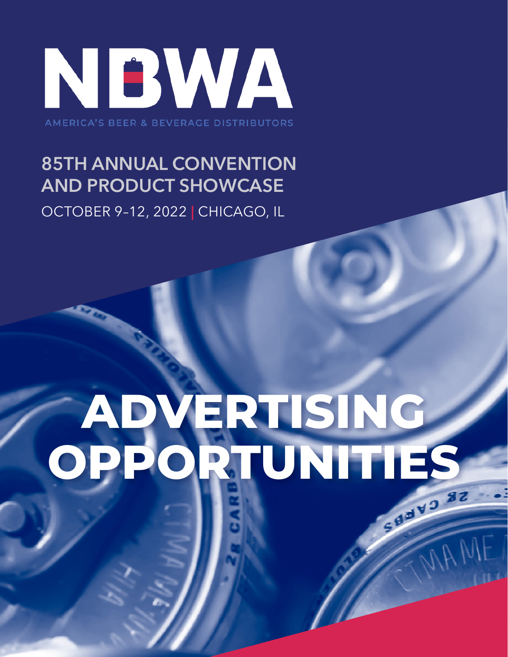

**AMERICA'S BEER & BEVERAGE DISTRIBUTORS** 

### **85TH ANNUAL CONVENTION AND PRODUCT SHOWCASE**

OCTOBER 9–12, 2022 **|** CHICAGO, IL

# **ADVERTISING OPPORTUNITIES**

MAM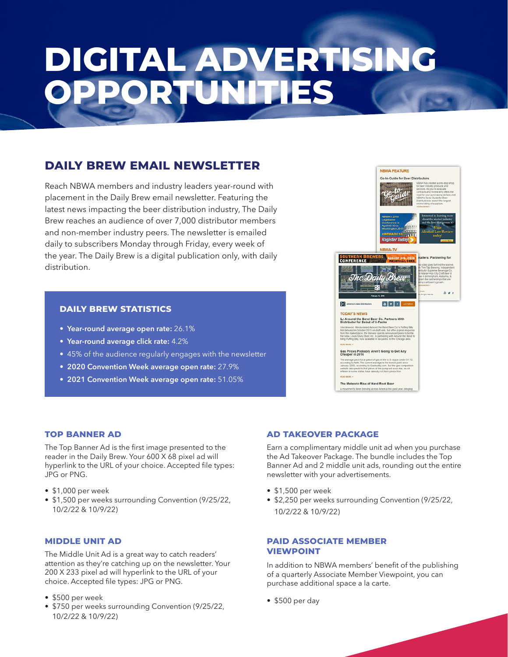## **DIGITAL ADVERTISING PORTUNITIES**

#### **DAILY BREW EMAIL NEWSLETTER**

Reach NBWA members and industry leaders year-round with placement in the Daily Brew email newsletter. Featuring the latest news impacting the beer distribution industry, The Daily Brew reaches an audience of over 7,000 distributor members and non-member industry peers. The newsletter is emailed daily to subscribers Monday through Friday, every week of the year. The Daily Brew is a digital publication only, with daily distribution.

#### **DAILY BREW STATISTICS**

- **• Year-round average open rate:** 26.1%
- **• Year-round average click rate:** 4.2%
- 45% of the audience regularly engages with the newsletter
- **• 2020 Convention Week average open rate:** 27.9%
- **• 2021 Convention Week average open rate:** 51.05%



#### **TOP BANNER AD**

The Top Banner Ad is the first image presented to the reader in the Daily Brew. Your 600 X 68 pixel ad will hyperlink to the URL of your choice. Accepted file types: JPG or PNG.

- \$1,000 per week
- \$1,500 per weeks surrounding Convention (9/25/22, 10/2/22 & 10/9/22)

#### **MIDDLE UNIT AD**

The Middle Unit Ad is a great way to catch readers' attention as they're catching up on the newsletter. Your 200 X 233 pixel ad will hyperlink to the URL of your choice. Accepted file types: JPG or PNG.

- \$500 per week
- \$750 per weeks surrounding Convention (9/25/22, 10/2/22 & 10/9/22)

#### **AD TAKEOVER PACKAGE**

Earn a complimentary middle unit ad when you purchase the Ad Takeover Package. The bundle includes the Top Banner Ad and 2 middle unit ads, rounding out the entire newsletter with your advertisements.

- \$1,500 per week
- \$2,250 per weeks surrounding Convention (9/25/22, 10/2/22 & 10/9/22)

#### **PAID ASSOCIATE MEMBER VIEWPOINT**

In addition to NBWA members' benefit of the publishing of a quarterly Associate Member Viewpoint, you can purchase additional space a la carte.

• \$500 per day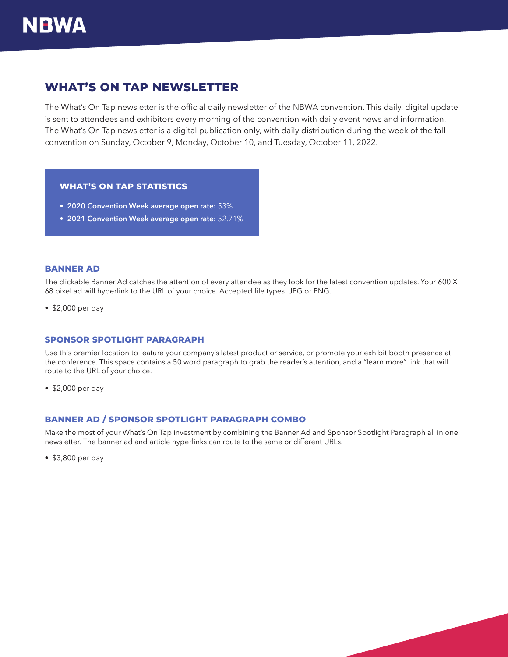### **NBWA**

#### **WHAT'S ON TAP NEWSLETTER**

The What's On Tap newsletter is the official daily newsletter of the NBWA convention. This daily, digital update is sent to attendees and exhibitors every morning of the convention with daily event news and information. The What's On Tap newsletter is a digital publication only, with daily distribution during the week of the fall convention on Sunday, October 9, Monday, October 10, and Tuesday, October 11, 2022.

#### **WHAT'S ON TAP STATISTICS**

- **• 2020 Convention Week average open rate:** 53%
- **• 2021 Convention Week average open rate:** 52.71%

#### **BANNER AD**

The clickable Banner Ad catches the attention of every attendee as they look for the latest convention updates. Your 600 X 68 pixel ad will hyperlink to the URL of your choice. Accepted file types: JPG or PNG.

• \$2,000 per day

#### **SPONSOR SPOTLIGHT PARAGRAPH**

Use this premier location to feature your company's latest product or service, or promote your exhibit booth presence at the conference. This space contains a 50 word paragraph to grab the reader's attention, and a "learn more" link that will route to the URL of your choice.

• \$2,000 per day

#### **BANNER AD / SPONSOR SPOTLIGHT PARAGRAPH COMBO**

Make the most of your What's On Tap investment by combining the Banner Ad and Sponsor Spotlight Paragraph all in one newsletter. The banner ad and article hyperlinks can route to the same or different URLs.

• \$3,800 per day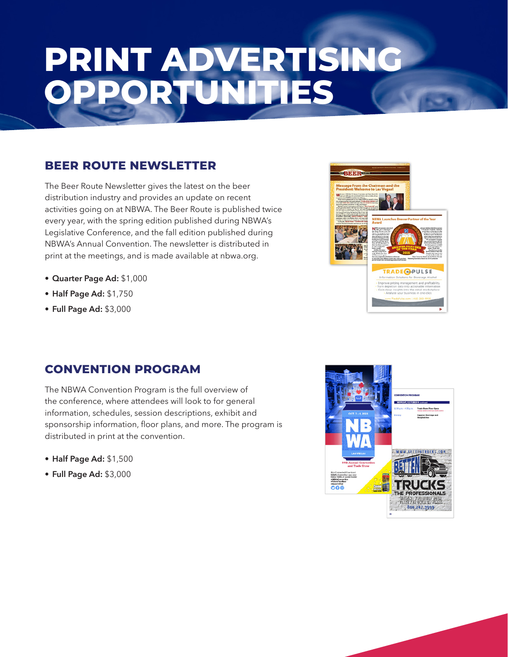## **PRINT ADVERTISING OPPORTUNITIES**

#### **BEER ROUTE NEWSLETTER**

The Beer Route Newsletter gives the latest on the beer distribution industry and provides an update on recent activities going on at NBWA. The Beer Route is published twice every year, with the spring edition published during NBWA's Legislative Conference, and the fall edition published during NBWA's Annual Convention. The newsletter is distributed in print at the meetings, and is made available at nbwa.org.

- **• Quarter Page Ad:** \$1,000
- **• Half Page Ad:** \$1,750
- **• Full Page Ad:** \$3,000



#### **CONVENTION PROGRAM**

The NBWA Convention Program is the full overview of the conference, where attendees will look to for general information, schedules, session descriptions, exhibit and sponsorship information, floor plans, and more. The program is distributed in print at the convention.

- **• Half Page Ad:** \$1,500
- **• Full Page Ad:** \$3,000